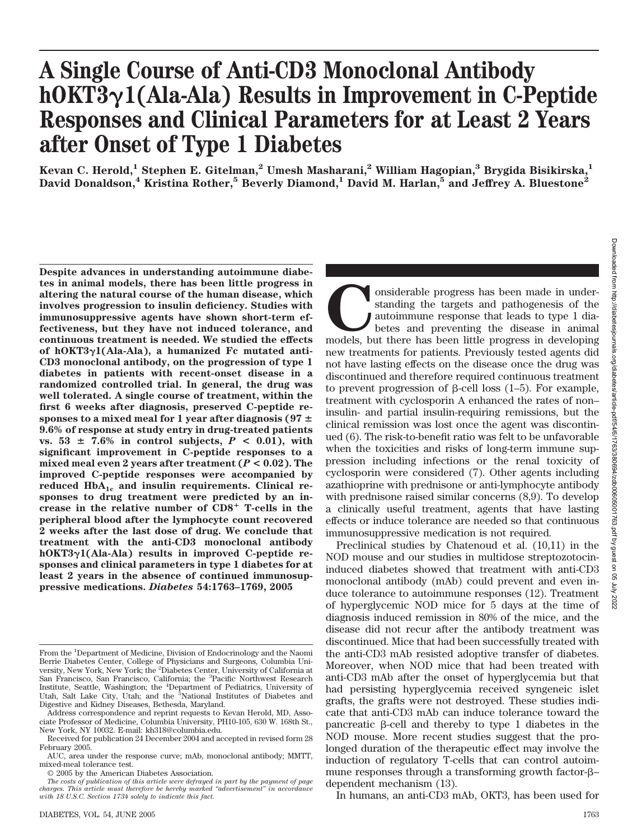# **A Single Course of Anti-CD3 Monoclonal Antibody hOKT31(Ala-Ala) Results in Improvement in C-Peptide Responses and Clinical Parameters for at Least 2 Years after Onset of Type 1 Diabetes**

**Kevan C. Herold,1 Stephen E. Gitelman,2 Umesh Masharani,2 William Hagopian,3 Brygida Bisikirska,1 David Donaldson,4 Kristina Rother,5 Beverly Diamond,1 David M. Harlan,5 and Jeffrey A. Bluestone2**

**Despite advances in understanding autoimmune diabetes in animal models, there has been little progress in altering the natural course of the human disease, which involves progression to insulin deficiency. Studies with immunosuppressive agents have shown short-term effectiveness, but they have not induced tolerance, and continuous treatment is needed. We studied the effects of hOKT31(Ala-Ala), a humanized Fc mutated anti-CD3 monoclonal antibody, on the progression of type 1 diabetes in patients with recent-onset disease in a randomized controlled trial. In general, the drug was well tolerated. A single course of treatment, within the first 6 weeks after diagnosis, preserved C-peptide responses to a mixed meal for 1 year after diagnosis (97** - **9.6% of response at study entry in drug-treated patients**  $v_s$ , 53  $\pm$  7.6% in control subjects,  $P < 0.01$ ), with **significant improvement in C-peptide responses to a mixed meal even 2 years after treatment (***P* **< 0.02). The improved C-peptide responses were accompanied by** reduced HbA<sub>1c</sub> and insulin requirements. Clinical re**sponses to drug treatment were predicted by an increase in the relative number of CD8 T-cells in the peripheral blood after the lymphocyte count recovered 2 weeks after the last dose of drug. We conclude that treatment with the anti-CD3 monoclonal antibody hOKT31(Ala-Ala) results in improved C-peptide responses and clinical parameters in type 1 diabetes for at least 2 years in the absence of continued immunosuppressive medications.** *Diabetes* **54:1763–1769, 2005**

onsiderable progress has been made in under-<br>standing the targets and pathogenesis of the<br>autoimmune response that leads to type 1 dia-<br>betes and preventing the disease in animal<br>models, but there has been little progress standing the targets and pathogenesis of the autoimmune response that leads to type 1 diabetes and preventing the disease in animal models, but there has been little progress in developing new treatments for patients. Previously tested agents did not have lasting effects on the disease once the drug was discontinued and therefore required continuous treatment to prevent progression of  $\beta$ -cell loss  $(1-5)$ . For example, treatment with cyclosporin A enhanced the rates of non– insulin- and partial insulin-requiring remissions, but the clinical remission was lost once the agent was discontinued (6). The risk-to-benefit ratio was felt to be unfavorable when the toxicities and risks of long-term immune suppression including infections or the renal toxicity of cyclosporin were considered (7). Other agents including azathioprine with prednisone or anti-lymphocyte antibody with prednisone raised similar concerns (8,9). To develop a clinically useful treatment, agents that have lasting effects or induce tolerance are needed so that continuous immunosuppressive medication is not required.

Preclinical studies by Chatenoud et al. (10,11) in the NOD mouse and our studies in multidose streptozotocininduced diabetes showed that treatment with anti-CD3 monoclonal antibody (mAb) could prevent and even induce tolerance to autoimmune responses (12). Treatment of hyperglycemic NOD mice for 5 days at the time of diagnosis induced remission in 80% of the mice, and the disease did not recur after the antibody treatment was discontinued. Mice that had been successfully treated with the anti-CD3 mAb resisted adoptive transfer of diabetes. Moreover, when NOD mice that had been treated with anti-CD3 mAb after the onset of hyperglycemia but that had persisting hyperglycemia received syngeneic islet grafts, the grafts were not destroyed. These studies indicate that anti-CD3 mAb can induce tolerance toward the pancreatic  $\beta$ -cell and thereby to type 1 diabetes in the NOD mouse. More recent studies suggest that the prolonged duration of the therapeutic effect may involve the induction of regulatory T-cells that can control autoimmune responses through a transforming growth factor- $\beta$ dependent mechanism (13).

Downloaded from http://diabetesjournals.org/diabetes/article-pdf/54/6/1763/380694/zdb00606001763.pdf by guest on 05 Downloaded from http://diabetesjournals.org/diabetes/article-pdf/54/6/1763/380694/zdb00605001763.pdf by guest on 05 July 2022γlυ 2022

In humans, an anti-CD3 mAb, OKT3, has been used for

From the <sup>1</sup>Department of Medicine, Division of Endocrinology and the Naomi Berrie Diabetes Center, College of Physicians and Surgeons, Columbia University, New York, New York; the <sup>2</sup> Diabetes Center, University of California at San Francisco, San Francisco, California; the <sup>3</sup>Pacific Northwest Research Institute, Seattle, Washington; the <sup>4</sup> Department of Pediatrics, University of Utah, Salt Lake City, Utah; and the <sup>5</sup>National Institutes of Diabetes and Digestive and Kidney Diseases, Bethesda, Maryland.

Address correspondence and reprint requests to Kevan Herold, MD, Associate Professor of Medicine, Columbia University, PH10-105, 630 W. 168th St., New York, NY 10032. E-mail: kh318@columbia.edu.

Received for publication 24 December 2004 and accepted in revised form 28 February 2005.

AUC, area under the response curve; mAb, monoclonal antibody; MMTT, mixed-meal tolerance test.

<sup>© 2005</sup> by the American Diabetes Association.

*The costs of publication of this article were defrayed in part by the payment of page charges. This article must therefore be hereby marked "advertisement" in accordance with 18 U.S.C. Section 1734 solely to indicate this fact.*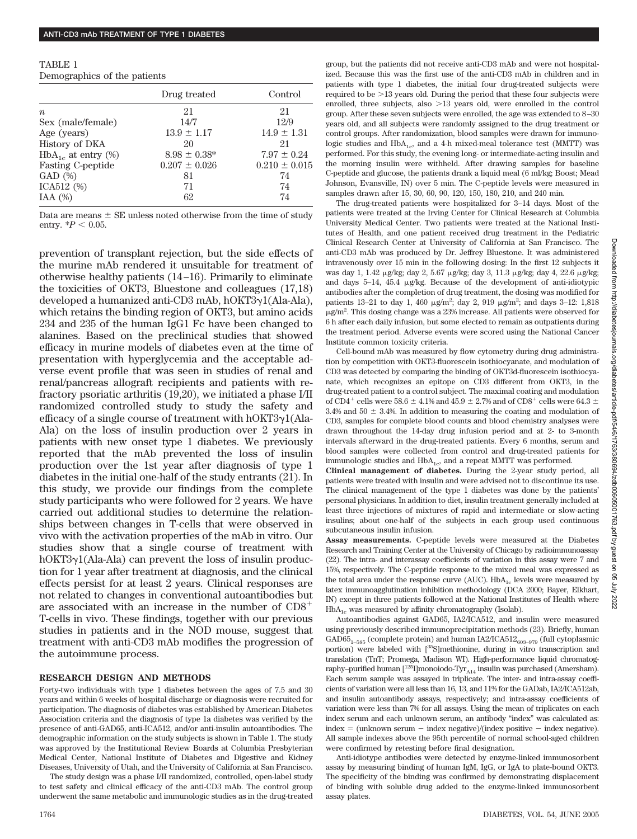| TABLE 1                      |  |
|------------------------------|--|
| Demographics of the patients |  |

|                            | Drug treated      | Control           |
|----------------------------|-------------------|-------------------|
| $\boldsymbol{n}$           | 21                | 21                |
| Sex (male/female)          | 14/7              | 12/9              |
| Age (years)                | $13.9 \pm 1.17$   | $14.9 \pm 1.31$   |
| History of DKA             | 20                | 21                |
| $HbA_{1c}$ at entry $(\%)$ | $8.98 \pm 0.38^*$ | $7.97 \pm 0.24$   |
| Fasting C-peptide          | $0.207 \pm 0.026$ | $0.210 \pm 0.015$ |
| GAD(%)                     | 81                | 74                |
| ICA512 (%)                 | 71                | 74                |
| IAA $(%)$                  | 62                | 74                |

Data are means  $\pm$  SE unless noted otherwise from the time of study entry.  $*P < 0.05$ .

prevention of transplant rejection, but the side effects of the murine mAb rendered it unsuitable for treatment of otherwise healthy patients (14–16). Primarily to eliminate the toxicities of OKT3, Bluestone and colleagues (17,18) developed a humanized anti-CD3 mAb, hOKT3γ1(Ala-Ala), which retains the binding region of OKT3, but amino acids 234 and 235 of the human IgG1 Fc have been changed to alanines. Based on the preclinical studies that showed efficacy in murine models of diabetes even at the time of presentation with hyperglycemia and the acceptable adverse event profile that was seen in studies of renal and renal/pancreas allograft recipients and patients with refractory psoriatic arthritis (19,20), we initiated a phase I/II randomized controlled study to study the safety and efficacy of a single course of treatment with  $hOKT3\gamma1(Ala-$ Ala) on the loss of insulin production over 2 years in patients with new onset type 1 diabetes. We previously reported that the mAb prevented the loss of insulin production over the 1st year after diagnosis of type 1 diabetes in the initial one-half of the study entrants (21). In this study, we provide our findings from the complete study participants who were followed for 2 years. We have carried out additional studies to determine the relationships between changes in T-cells that were observed in vivo with the activation properties of the mAb in vitro. Our studies show that a single course of treatment with hOKT3y1(Ala-Ala) can prevent the loss of insulin production for 1 year after treatment at diagnosis, and the clinical effects persist for at least 2 years. Clinical responses are not related to changes in conventional autoantibodies but are associated with an increase in the number of CD8 T-cells in vivo. These findings, together with our previous studies in patients and in the NOD mouse, suggest that treatment with anti-CD3 mAb modifies the progression of the autoimmune process.

### **RESEARCH DESIGN AND METHODS**

Forty-two individuals with type 1 diabetes between the ages of 7.5 and 30 years and within 6 weeks of hospital discharge or diagnosis were recruited for participation. The diagnosis of diabetes was established by American Diabetes Association criteria and the diagnosis of type 1a diabetes was verified by the presence of anti-GAD65, anti-ICA512, and/or anti-insulin autoantibodies. The demographic information on the study subjects is shown in Table 1. The study was approved by the Institutional Review Boards at Columbia Presbyterian Medical Center, National Institute of Diabetes and Digestive and Kidney Diseases, University of Utah, and the University of California at San Francisco.

The study design was a phase I/II randomized, controlled, open-label study to test safety and clinical efficacy of the anti-CD3 mAb. The control group underwent the same metabolic and immunologic studies as in the drug-treated group, but the patients did not receive anti-CD3 mAb and were not hospitalized. Because this was the first use of the anti-CD3 mAb in children and in patients with type 1 diabetes, the initial four drug-treated subjects were required to be  $>13$  years old. During the period that these four subjects were enrolled, three subjects, also  $>13$  years old, were enrolled in the control group. After these seven subjects were enrolled, the age was extended to 8–30 years old, and all subjects were randomly assigned to the drug treatment or control groups. After randomization, blood samples were drawn for immunologic studies and  $HbA_{1c}$ , and a 4-h mixed-meal tolerance test (MMTT) was performed. For this study, the evening long- or intermediate-acting insulin and the morning insulin were withheld. After drawing samples for baseline C-peptide and glucose, the patients drank a liquid meal (6 ml/kg; Boost; Mead Johnson, Evansville, IN) over 5 min. The C-peptide levels were measured in samples drawn after 15, 30, 60, 90, 120, 150, 180, 210, and 240 min.

The drug-treated patients were hospitalized for 3–14 days. Most of the patients were treated at the Irving Center for Clinical Research at Columbia University Medical Center. Two patients were treated at the National Institutes of Health, and one patient received drug treatment in the Pediatric Clinical Research Center at University of California at San Francisco. The anti-CD3 mAb was produced by Dr. Jeffrey Bluestone. It was administered intravenously over 15 min in the following dosing: In the first 12 subjects it was day 1, 1.42  $\mu$ g/kg; day 2, 5.67  $\mu$ g/kg; day 3, 11.3  $\mu$ g/kg; day 4, 22.6  $\mu$ g/kg; and days  $5-14$ ,  $45.4 \mu g/kg$ . Because of the development of anti-idiotypic antibodies after the completion of drug treatment, the dosing was modified for patients 13-21 to day 1, 460  $\mu$ g/m<sup>2</sup>; day 2, 919  $\mu$ g/m<sup>2</sup>; and days 3-12: 1,818  $\mu$ g/m<sup>2</sup>. This dosing change was a 23% increase. All patients were observed for 6 h after each daily infusion, but some elected to remain as outpatients during the treatment period. Adverse events were scored using the National Cancer Institute common toxicity criteria.

Cell-bound mAb was measured by flow cytometry during drug administration by competition with OKT3-fluorescein isothiocyanate, and modulation of CD3 was detected by comparing the binding of OKT3d-fluorescein isothiocyanate, which recognizes an epitope on CD3 different from OKT3, in the drug-treated patient to a control subject. The maximal coating and modulation of CD4<sup>+</sup> cells were 58.6  $\pm$  4.1% and 45.9  $\pm$  2.7% and of CD8<sup>+</sup> cells were 64.3  $\pm$ 3.4% and 50  $\pm$  3.4%. In addition to measuring the coating and modulation of CD3, samples for complete blood counts and blood chemistry analyses were drawn throughout the 14-day drug infusion period and at 2- to 3-month intervals afterward in the drug-treated patients. Every 6 months, serum and blood samples were collected from control and drug-treated patients for immunologic studies and HbA<sub>1c</sub>, and a repeat MMTT was performed.

**Clinical management of diabetes.** During the 2-year study period, all patients were treated with insulin and were advised not to discontinue its use. The clinical management of the type 1 diabetes was done by the patients' personal physicians. In addition to diet, insulin treatment generally included at least three injections of mixtures of rapid and intermediate or slow-acting insulins; about one-half of the subjects in each group used continuous subcutaneous insulin infusion.

**Assay measurements.** C-peptide levels were measured at the Diabetes Research and Training Center at the University of Chicago by radioimmunoassay (22). The intra- and interassay coefficients of variation in this assay were 7 and 15%, respectively. The C-peptide response to the mixed meal was expressed as the total area under the response curve (AUC).  $\text{HbA}_{\text{1c}}$  levels were measured by latex immunoagglutination inhibition methodology (DCA 2000; Bayer, Elkhart, IN) except in three patients followed at the National Institutes of Health where HbA1c was measured by affinity chromatography (Isolab).

Autoantibodies against GAD65, IA2/ICA512, and insulin were measured using previously described immunoprecipitation methods (23). Briefly, human GAD65<sub>1–585</sub> (complete protein) and human IA2/ICA512<sub>603–979</sub> (full cytoplasmic portion) were labeled with [35S]methionine, during in vitro transcription and translation (TnT; Promega, Madison WI). High-performance liquid chromatography–purified human  $[^{125}I]$ monoiodo-Tyr $_{\rm A14}$ insulin was purchased (Amersham). Each serum sample was assayed in triplicate. The inter- and intra-assay coefficients of variation were all less than 16, 13, and 11% for the GADab, IA2/ICA512ab, and insulin autoantibody assays, respectively; and intra-assay coefficients of variation were less than 7% for all assays. Using the mean of triplicates on each index serum and each unknown serum, an antibody "index" was calculated as:  $index = (unknown serum - index negative)/(index positive - index negative)$ . All sample indexes above the 95th percentile of normal school-aged children were confirmed by retesting before final designation.

Anti-idiotype antibodies were detected by enzyme-linked immunosorbent assay by measuring binding of human IgM, IgG, or IgA to plate-bound OKT3. The specificity of the binding was confirmed by demonstrating displacement of binding with soluble drug added to the enzyme-linked immunosorbent assay plates.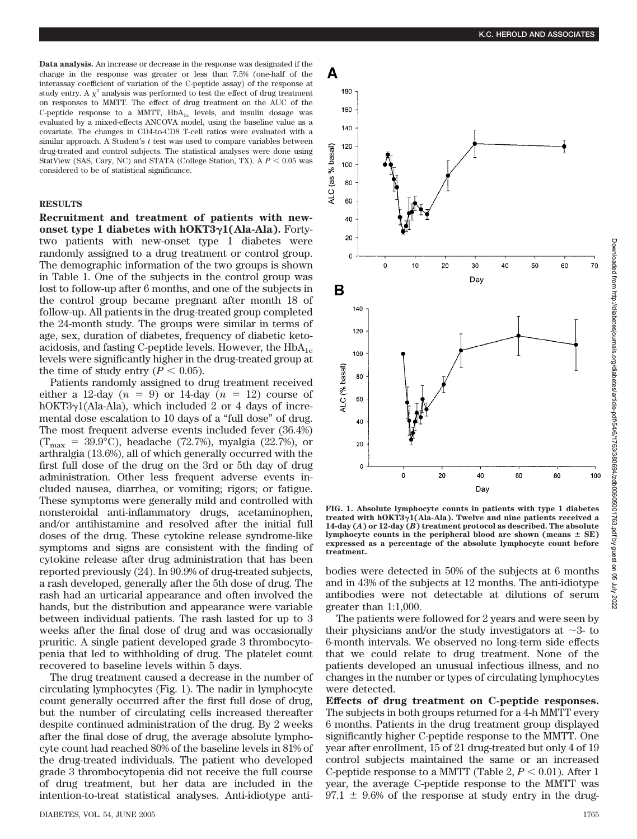**Data analysis.** An increase or decrease in the response was designated if the change in the response was greater or less than 7.5% (one-half of the interassay coefficient of variation of the C-peptide assay) of the response at study entry. A  $\chi^2$  analysis was performed to test the effect of drug treatment on responses to MMTT. The effect of drug treatment on the AUC of the C-peptide response to a MMTT,  $HbA_{1c}$  levels, and insulin dosage was evaluated by a mixed-effects ANCOVA model, using the baseline value as a covariate. The changes in CD4-to-CD8 T-cell ratios were evaluated with a similar approach. A Student's *t* test was used to compare variables between drug-treated and control subjects. The statistical analyses were done using StatView (SAS, Cary, NC) and STATA (College Station, TX). A  $P < 0.05$  was considered to be of statistical significance.

## **RESULTS**

**Recruitment and treatment of patients with newonset type 1 diabetes with hOKT31(Ala-Ala).** Fortytwo patients with new-onset type 1 diabetes were randomly assigned to a drug treatment or control group. The demographic information of the two groups is shown in Table 1. One of the subjects in the control group was lost to follow-up after 6 months, and one of the subjects in the control group became pregnant after month 18 of follow-up. All patients in the drug-treated group completed the 24-month study. The groups were similar in terms of age, sex, duration of diabetes, frequency of diabetic ketoacidosis, and fasting C-peptide levels. However, the  $HbA_{1c}$ levels were significantly higher in the drug-treated group at the time of study entry  $(P < 0.05)$ .

Patients randomly assigned to drug treatment received either a 12-day  $(n = 9)$  or 14-day  $(n = 12)$  course of hOKT3γ1(Ala-Ala), which included 2 or 4 days of incremental dose escalation to 10 days of a "full dose" of drug. The most frequent adverse events included fever (36.4%)  $(T_{\text{max}} = 39.9^{\circ} \text{C})$ , headache (72.7%), myalgia (22.7%), or arthralgia (13.6%), all of which generally occurred with the first full dose of the drug on the 3rd or 5th day of drug administration. Other less frequent adverse events included nausea, diarrhea, or vomiting; rigors; or fatigue. These symptoms were generally mild and controlled with nonsteroidal anti-inflammatory drugs, acetaminophen, and/or antihistamine and resolved after the initial full doses of the drug. These cytokine release syndrome-like symptoms and signs are consistent with the finding of cytokine release after drug administration that has been reported previously (24). In 90.9% of drug-treated subjects, a rash developed, generally after the 5th dose of drug. The rash had an urticarial appearance and often involved the hands, but the distribution and appearance were variable between individual patients. The rash lasted for up to 3 weeks after the final dose of drug and was occasionally pruritic. A single patient developed grade 3 thrombocytopenia that led to withholding of drug. The platelet count recovered to baseline levels within 5 days.

The drug treatment caused a decrease in the number of circulating lymphocytes (Fig. 1). The nadir in lymphocyte count generally occurred after the first full dose of drug, but the number of circulating cells increased thereafter despite continued administration of the drug. By 2 weeks after the final dose of drug, the average absolute lymphocyte count had reached 80% of the baseline levels in 81% of the drug-treated individuals. The patient who developed grade 3 thrombocytopenia did not receive the full course of drug treatment, but her data are included in the intention-to-treat statistical analyses. Anti-idiotype anti-



**FIG. 1. Absolute lymphocyte counts in patients with type 1 diabetes treated with hOKT31(Ala-Ala). Twelve and nine patients received a 14-day (***A***) or 12-day (***B***) treatment protocol as described. The absolute** lymphocyte counts in the peripheral blood are shown (means  $\pm$  SE) **expressed as a percentage of the absolute lymphocyte count before treatment.**

bodies were detected in 50% of the subjects at 6 months and in 43% of the subjects at 12 months. The anti-idiotype antibodies were not detectable at dilutions of serum greater than 1:1,000.

The patients were followed for 2 years and were seen by their physicians and/or the study investigators at  $\sim$ 3- to 6-month intervals. We observed no long-term side effects that we could relate to drug treatment. None of the patients developed an unusual infectious illness, and no changes in the number or types of circulating lymphocytes were detected.

**Effects of drug treatment on C-peptide responses.** The subjects in both groups returned for a 4-h MMTT every 6 months. Patients in the drug treatment group displayed significantly higher C-peptide response to the MMTT. One year after enrollment, 15 of 21 drug-treated but only 4 of 19 control subjects maintained the same or an increased C-peptide response to a MMTT (Table 2,  $P < 0.01$ ). After 1 year, the average C-peptide response to the MMTT was  $97.1 \pm 9.6\%$  of the response at study entry in the drug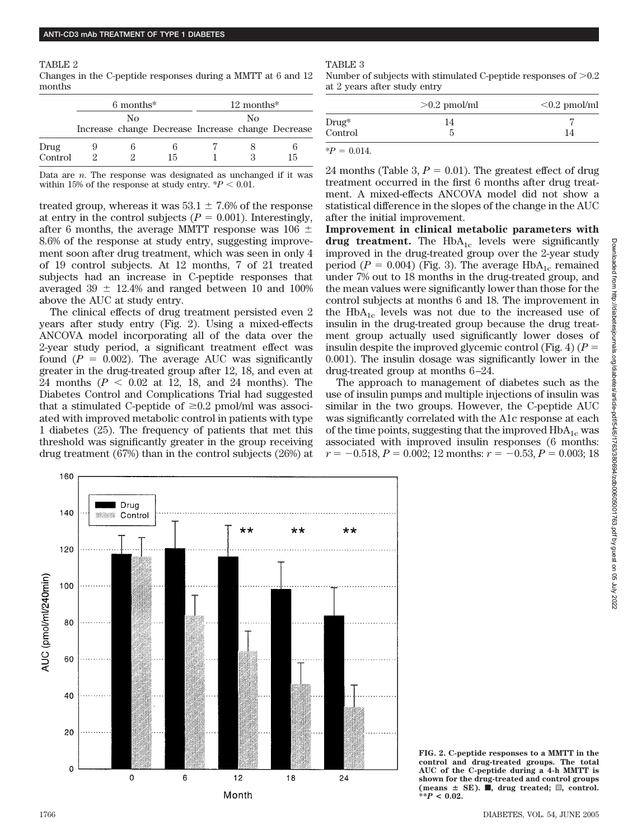TABLE 2 Changes in the C-peptide responses during a MMTT at 6 and 12 months

|         | $6$ months <sup>*</sup><br>Nο |  | $12$ months <sup>*</sup><br>Nο                    |  |  |    |
|---------|-------------------------------|--|---------------------------------------------------|--|--|----|
|         |                               |  |                                                   |  |  |    |
|         |                               |  | Increase change Decrease Increase change Decrease |  |  |    |
| Drug    |                               |  |                                                   |  |  |    |
| Control |                               |  | 15                                                |  |  | 15 |

Data are *n*. The response was designated as unchanged if it was within 15% of the response at study entry.  $*P < 0.01$ .

treated group, whereas it was  $53.1 \pm 7.6\%$  of the response at entry in the control subjects  $(P = 0.001)$ . Interestingly, after 6 months, the average MMTT response was 106  $\pm$ 8.6% of the response at study entry, suggesting improvement soon after drug treatment, which was seen in only 4 of 19 control subjects. At 12 months, 7 of 21 treated subjects had an increase in C-peptide responses that averaged  $39 \pm 12.4\%$  and ranged between 10 and 100% above the AUC at study entry.

The clinical effects of drug treatment persisted even 2 years after study entry (Fig. 2). Using a mixed-effects ANCOVA model incorporating all of the data over the 2-year study period, a significant treatment effect was found  $(P = 0.002)$ . The average AUC was significantly greater in the drug-treated group after 12, 18, and even at 24 months  $(P < 0.02$  at 12, 18, and 24 months). The Diabetes Control and Complications Trial had suggested that a stimulated C-peptide of  $\geq 0.2$  pmol/ml was associated with improved metabolic control in patients with type 1 diabetes (25). The frequency of patients that met this threshold was significantly greater in the group receiving drug treatment (67%) than in the control subjects (26%) at



Number of subjects with stimulated C-peptide responses of  $> 0.2$ at 2 years after study entry

|          | $>0.2$ pmol/ml | $< 0.2$ pmol/ml |
|----------|----------------|-----------------|
| $Drug^*$ | 14             |                 |
| Control  | 5              | 14              |
|          |                |                 |

 $*P = 0.014$ .

24 months (Table 3,  $P = 0.01$ ). The greatest effect of drug treatment occurred in the first 6 months after drug treatment. A mixed-effects ANCOVA model did not show a statistical difference in the slopes of the change in the AUC after the initial improvement.

**Improvement in clinical metabolic parameters with drug treatment.** The  $HbA_{1c}$  levels were significantly improved in the drug-treated group over the 2-year study period ( $P = 0.004$ ) (Fig. 3). The average HbA<sub>1c</sub> remained under 7% out to 18 months in the drug-treated group, and the mean values were significantly lower than those for the control subjects at months 6 and 18. The improvement in the  $HbA_{1c}$  levels was not due to the increased use of insulin in the drug-treated group because the drug treatment group actually used significantly lower doses of insulin despite the improved glycemic control (Fig. 4)  $(P =$ 0.001). The insulin dosage was significantly lower in the drug-treated group at months 6–24.

The approach to management of diabetes such as the use of insulin pumps and multiple injections of insulin was similar in the two groups. However, the C-peptide AUC was significantly correlated with the A1c response at each of the time points, suggesting that the improved  $HbA_{1c}$  was associated with improved insulin responses (6 months:  $r = -0.518$ ,  $P = 0.002$ ; 12 months:  $r = -0.53$ ,  $P = 0.003$ ; 18



**FIG. 2. C-peptide responses to a MMTT in the control and drug-treated groups. The total AUC of the C-peptide during a 4-h MMTT is shown for the drug-treated and control groups**  $(means \pm SE)$ . **i**, drug treated; **Z**, control. **\*\****P* **< 0.02.**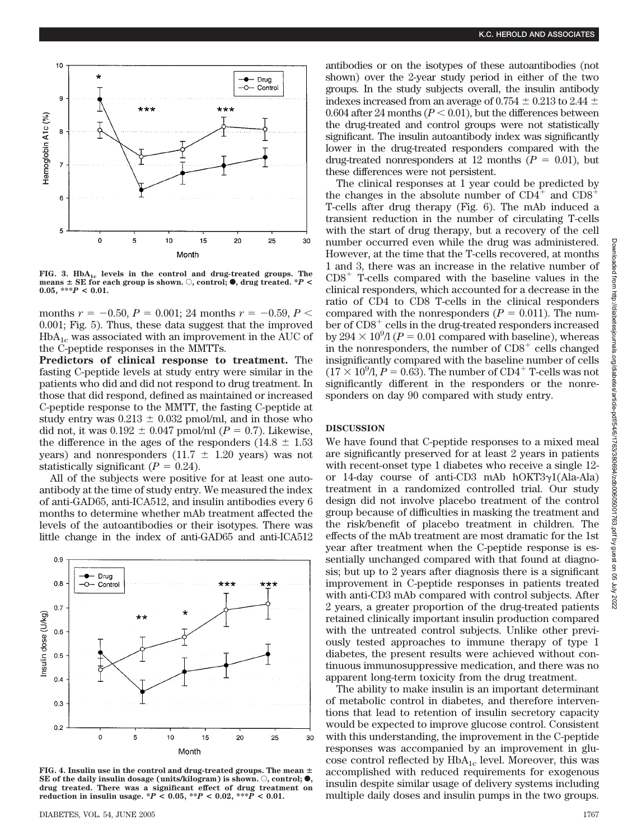

FIG. 3. HbA<sub>1c</sub> levels in the control and drug-treated groups. The  $m$  means  $\pm$  SE for each group is shown.  $\circ$ , control;  $\bullet$ , drug treated. \**P* < **0.05, \*\*\****P* **< 0.01.**

months  $r = -0.50$ ,  $P = 0.001$ ; 24 months  $r = -0.59$ ,  $P <$ 0.001; Fig. 5). Thus, these data suggest that the improved  $HbA_{1c}$  was associated with an improvement in the AUC of the C-peptide responses in the MMTTs.

**Predictors of clinical response to treatment.** The fasting C-peptide levels at study entry were similar in the patients who did and did not respond to drug treatment. In those that did respond, defined as maintained or increased C-peptide response to the MMTT, the fasting C-peptide at study entry was  $0.213 \pm 0.032$  pmol/ml, and in those who did not, it was  $0.192 \pm 0.047$  pmol/ml ( $P = 0.7$ ). Likewise, the difference in the ages of the responders (14.8  $\pm$  1.53 years) and nonresponders  $(11.7 \pm 1.20 \text{ years})$  was not statistically significant  $(P = 0.24)$ .

All of the subjects were positive for at least one autoantibody at the time of study entry. We measured the index of anti-GAD65, anti-ICA512, and insulin antibodies every 6 months to determine whether mAb treatment affected the levels of the autoantibodies or their isotypes. There was little change in the index of anti-GAD65 and anti-ICA512



**FIG. 4. Insulin use in the control and drug-treated groups. The mean**  $\pm$ **SE** of the daily insulin dosage (units/kilogram) is shown.  $\bigcirc$ , control;  $\bullet$ , **drug treated. There was a significant effect of drug treatment on reduction in insulin usage. \****P* **< 0.05, \*\****P* **< 0.02, \*\*\****P* **< 0.01.**

antibodies or on the isotypes of these autoantibodies (not shown) over the 2-year study period in either of the two groups. In the study subjects overall, the insulin antibody indexes increased from an average of 0.754  $\pm$  0.213 to 2.44  $\pm$ 0.604 after 24 months  $(P < 0.01)$ , but the differences between the drug-treated and control groups were not statistically significant. The insulin autoantibody index was significantly lower in the drug-treated responders compared with the drug-treated nonresponders at 12 months  $(P = 0.01)$ , but these differences were not persistent.

The clinical responses at 1 year could be predicted by the changes in the absolute number of  $CD4^+$  and  $CD8^+$ T-cells after drug therapy (Fig. 6). The mAb induced a transient reduction in the number of circulating T-cells with the start of drug therapy, but a recovery of the cell number occurred even while the drug was administered. However, at the time that the T-cells recovered, at months 1 and 3, there was an increase in the relative number of  $CD8<sup>+</sup>$  T-cells compared with the baseline values in the clinical responders, which accounted for a decrease in the ratio of CD4 to CD8 T-cells in the clinical responders compared with the nonresponders  $(P = 0.011)$ . The number of  $CD8<sup>+</sup>$  cells in the drug-treated responders increased by  $294 \times 10^9$ /l ( $P = 0.01$  compared with baseline), whereas in the nonresponders, the number of  $CD8<sup>+</sup>$  cells changed insignificantly compared with the baseline number of cells  $(17 \times 10^9)$ ,  $P = 0.63$ ). The number of CD4<sup>+</sup> T-cells was not significantly different in the responders or the nonresponders on day 90 compared with study entry.

#### **DISCUSSION**

We have found that C-peptide responses to a mixed meal are significantly preserved for at least 2 years in patients with recent-onset type 1 diabetes who receive a single 12 or 14-day course of anti-CD3 mAb  $h$ OKT3 $\gamma$ 1(Ala-Ala) treatment in a randomized controlled trial. Our study design did not involve placebo treatment of the control group because of difficulties in masking the treatment and the risk/benefit of placebo treatment in children. The effects of the mAb treatment are most dramatic for the 1st year after treatment when the C-peptide response is essentially unchanged compared with that found at diagnosis; but up to 2 years after diagnosis there is a significant improvement in C-peptide responses in patients treated with anti-CD3 mAb compared with control subjects. After 2 years, a greater proportion of the drug-treated patients retained clinically important insulin production compared with the untreated control subjects. Unlike other previously tested approaches to immune therapy of type 1 diabetes, the present results were achieved without continuous immunosuppressive medication, and there was no apparent long-term toxicity from the drug treatment.

The ability to make insulin is an important determinant of metabolic control in diabetes, and therefore interventions that lead to retention of insulin secretory capacity would be expected to improve glucose control. Consistent with this understanding, the improvement in the C-peptide responses was accompanied by an improvement in glucose control reflected by  $HbA_{1c}$  level. Moreover, this was accomplished with reduced requirements for exogenous insulin despite similar usage of delivery systems including multiple daily doses and insulin pumps in the two groups.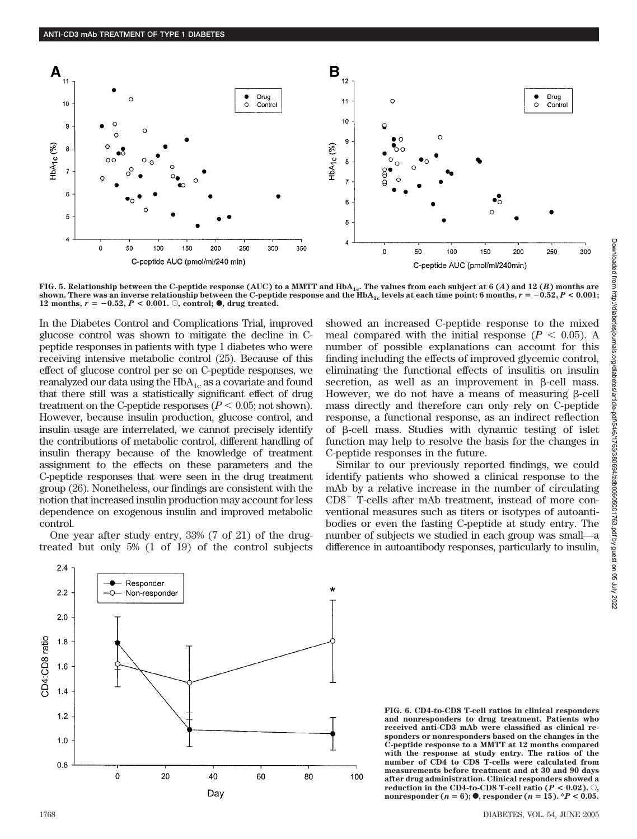

**FIG. 5. Relationship between the C-peptide response (AUC) to a MMTT and HbA1c. The values from each subject at 6 (***A***) and 12 (***B***) months are** shown. There was an inverse relationship between the C-peptide response and the  $HbA_{1c}$  levels at each time point: 6 months,  $r = -0.52, P < 0.001;$ **12 months,**  $r = -0.52, P < 0.001$ .  $\circ$ , control;  $\bullet$ , drug treated.

In the Diabetes Control and Complications Trial, improved glucose control was shown to mitigate the decline in Cpeptide responses in patients with type 1 diabetes who were receiving intensive metabolic control (25). Because of this effect of glucose control per se on C-peptide responses, we reanalyzed our data using the  $HbA_{1c}$  as a covariate and found that there still was a statistically significant effect of drug treatment on the C-peptide responses  $(P < 0.05; \text{not shown})$ . However, because insulin production, glucose control, and insulin usage are interrelated, we cannot precisely identify the contributions of metabolic control, different handling of insulin therapy because of the knowledge of treatment assignment to the effects on these parameters and the C-peptide responses that were seen in the drug treatment group (26). Nonetheless, our findings are consistent with the notion that increased insulin production may account for less dependence on exogenous insulin and improved metabolic control.

One year after study entry, 33% (7 of 21) of the drugtreated but only 5% (1 of 19) of the control subjects showed an increased C-peptide response to the mixed meal compared with the initial response  $(P < 0.05)$ . A number of possible explanations can account for this finding including the effects of improved glycemic control, eliminating the functional effects of insulitis on insulin secretion, as well as an improvement in  $\beta$ -cell mass. However, we do not have a means of measuring  $\beta$ -cell mass directly and therefore can only rely on C-peptide response, a functional response, as an indirect reflection of  $\beta$ -cell mass. Studies with dynamic testing of islet function may help to resolve the basis for the changes in C-peptide responses in the future.

Similar to our previously reported findings, we could identify patients who showed a clinical response to the mAb by a relative increase in the number of circulating  $CD8<sup>+</sup>$  T-cells after mAb treatment, instead of more conventional measures such as titers or isotypes of autoantibodies or even the fasting C-peptide at study entry. The number of subjects we studied in each group was small—a difference in autoantibody responses, particularly to insulin,



**FIG. 6. CD4-to-CD8 T-cell ratios in clinical responders and nonresponders to drug treatment. Patients who received anti-CD3 mAb were classified as clinical responders or nonresponders based on the changes in the C-peptide response to a MMTT at 12 months compared with the response at study entry. The ratios of the number of CD4 to CD8 T-cells were calculated from measurements before treatment and at 30 and 90 days after drug administration. Clinical responders showed a reduction in the CD4-to-CD8 T-cell ratio (** $P < 0.02$ **).**  $\odot$ **nonresponder**  $(n = 6)$ ;  $\bullet$ , responder  $(n = 15)$ . \**P* < 0.05.